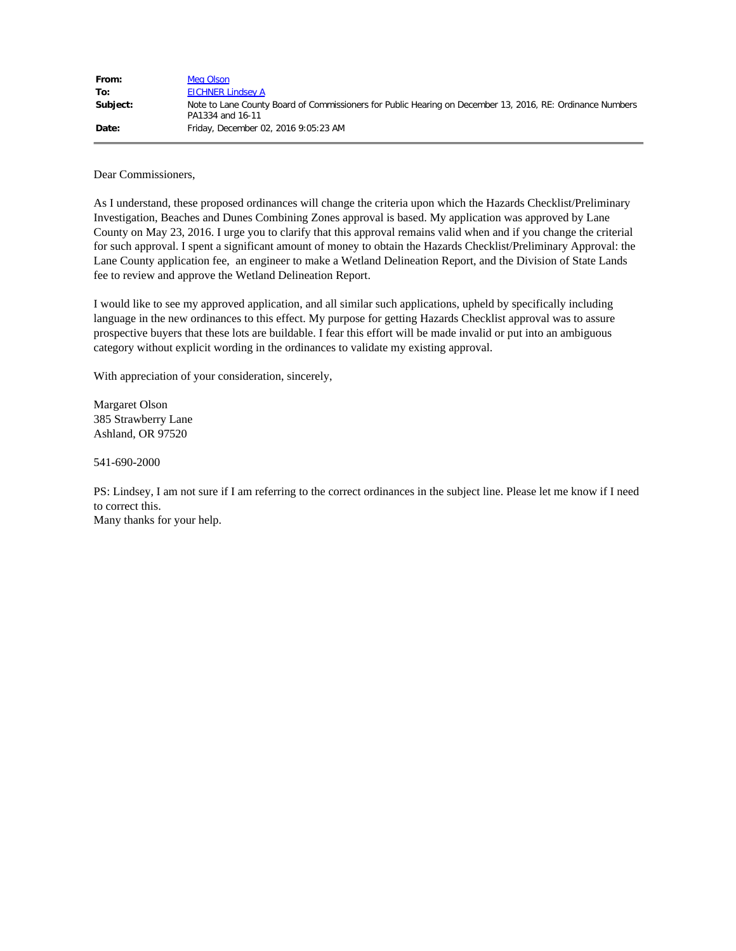| From:    | Meg Olson                                                                                                                     |
|----------|-------------------------------------------------------------------------------------------------------------------------------|
| To:      | <b>EICHNER Lindsey A</b>                                                                                                      |
| Subject: | Note to Lane County Board of Commissioners for Public Hearing on December 13, 2016, RE: Ordinance Numbers<br>PA1334 and 16-11 |
| Date:    | Friday, December 02, 2016 9:05:23 AM                                                                                          |

Dear Commissioners,

As I understand, these proposed ordinances will change the criteria upon which the Hazards Checklist/Preliminary Investigation, Beaches and Dunes Combining Zones approval is based. My application was approved by Lane County on May 23, 2016. I urge you to clarify that this approval remains valid when and if you change the criterial for such approval. I spent a significant amount of money to obtain the Hazards Checklist/Preliminary Approval: the Lane County application fee, an engineer to make a Wetland Delineation Report, and the Division of State Lands fee to review and approve the Wetland Delineation Report.

I would like to see my approved application, and all similar such applications, upheld by specifically including language in the new ordinances to this effect. My purpose for getting Hazards Checklist approval was to assure prospective buyers that these lots are buildable. I fear this effort will be made invalid or put into an ambiguous category without explicit wording in the ordinances to validate my existing approval.

With appreciation of your consideration, sincerely,

Margaret Olson 385 Strawberry Lane Ashland, OR 97520

541-690-2000

PS: Lindsey, I am not sure if I am referring to the correct ordinances in the subject line. Please let me know if I need to correct this.

Many thanks for your help.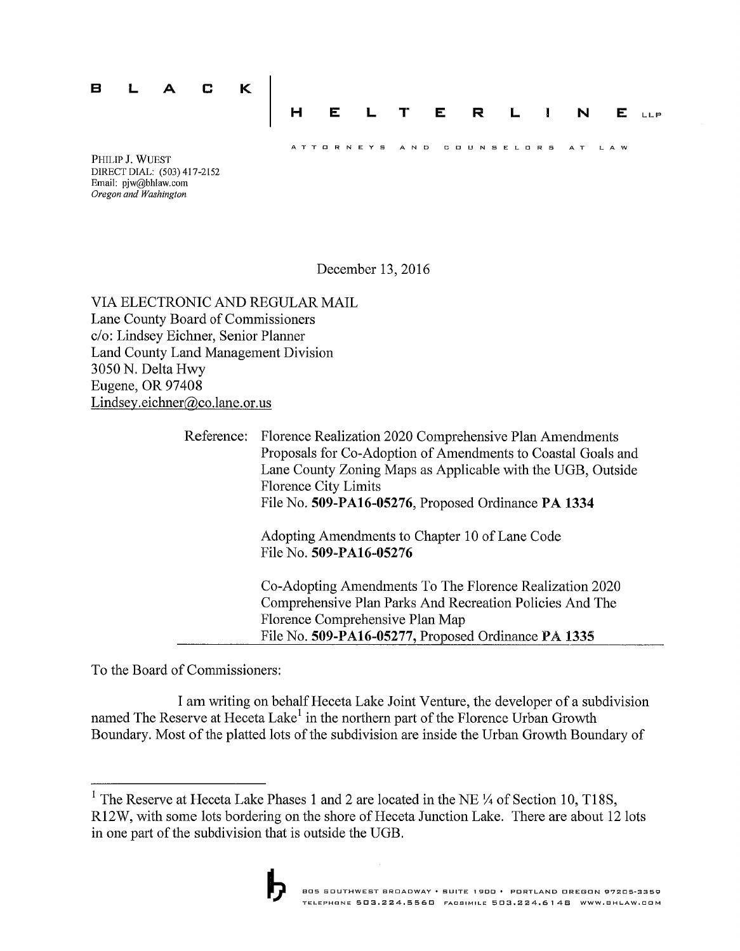

Email: pjw@bhlaw.com Oregon and Washington

December 13, 2016

VIA ELECTRONIC AND REGULAR MAIL Lane County Board of Commissioners c/o: Lindsey Eichner, Senior Planner Land County Land Management Division 3050 N. Delta Hwy Eugene, OR 97408 Lindsey.eichner@co.lane.or.us

> Reference: Florence Realization 2020 Comprehensive Plan Amendments Proposals for Co-Adoption of Amendments to Coastal Goals and Lane County Zoning Maps as Applicable with the UGB, Outside **Florence City Limits** File No. 509-PA16-05276, Proposed Ordinance PA 1334 Adopting Amendments to Chapter 10 of Lane Code File No. 509-PA16-05276 Co-Adopting Amendments To The Florence Realization 2020 Comprehensive Plan Parks And Recreation Policies And The Florence Comprehensive Plan Map File No. 509-PA16-05277, Proposed Ordinance PA 1335

To the Board of Commissioners:

I am writing on behalf Heceta Lake Joint Venture, the developer of a subdivision named The Reserve at Heceta Lake<sup>1</sup> in the northern part of the Florence Urban Growth Boundary. Most of the platted lots of the subdivision are inside the Urban Growth Boundary of

<sup>&</sup>lt;sup>1</sup> The Reserve at Heceta Lake Phases 1 and 2 are located in the NE  $\frac{1}{4}$  of Section 10, T18S, R12W, with some lots bordering on the shore of Heceta Junction Lake. There are about 12 lots in one part of the subdivision that is outside the UGB.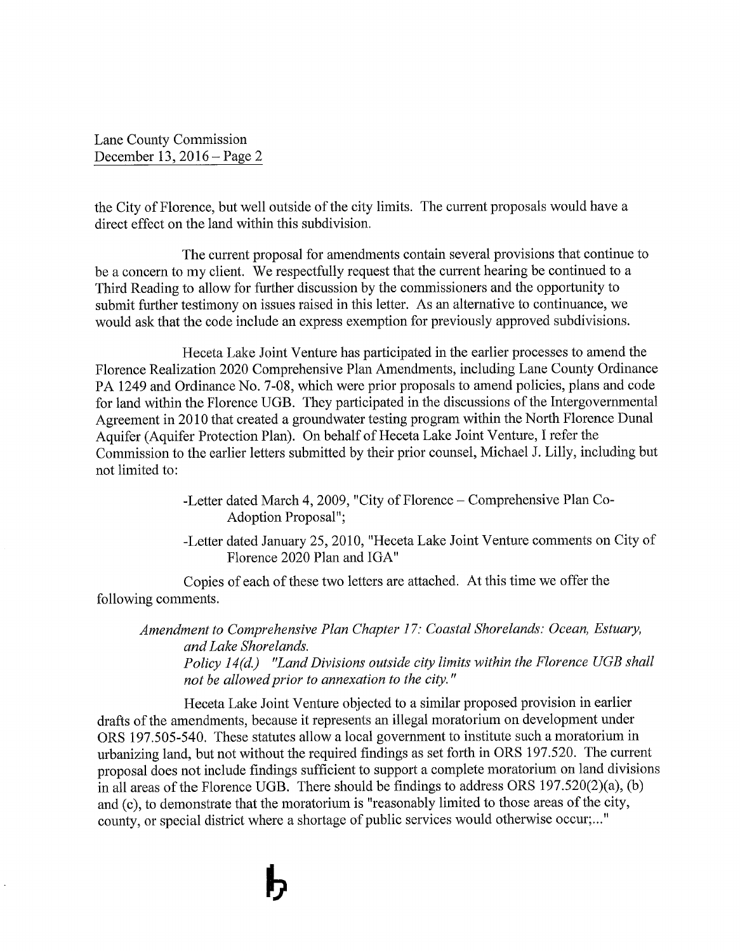the City of Florence, but well outside of the city limits. The current proposals would have a direct effect on the land within this subdivision.

The current proposal for amendments contain several provisions that continue to be a concern to my client. We respectfully request that the current hearing be continued to a Third Reading to allow for further discussion by the commissioners and the opportunity to submit further testimony on issues raised in this letter. As an alternative to continuance, we would ask that the code include an express exemption for previously approved subdivisions.

Heceta Lake Joint Venture has participated in the earlier processes to amend the Florence Realization 2020 Comprehensive Plan Amendments, including Lane County Ordinance PA 1249 and Ordinance No. 7-08, which were prior proposals to amend policies, plans and code for land within the Florence UGB. They participated in the discussions of the Intergovernmental Agreement in 2010 that created a groundwater testing program within the North Florence Dunal Aquifer (Aquifer Protection Plan). On behalf of Heceta Lake Joint Venture, I refer the Commission to the earlier letters submitted by their prior counsel, Michael J. Lilly, including but not limited to:

> -Letter dated March 4, 2009, "City of Florence – Comprehensive Plan Co-**Adoption Proposal":**

-Letter dated January 25, 2010, "Heceta Lake Joint Venture comments on City of Florence 2020 Plan and IGA"

Copies of each of these two letters are attached. At this time we offer the following comments.

Amendment to Comprehensive Plan Chapter 17: Coastal Shorelands: Ocean, Estuary, and Lake Shorelands. Policy 14(d.) "Land Divisions outside city limits within the Florence UGB shall not be allowed prior to annexation to the city."

Heceta Lake Joint Venture objected to a similar proposed provision in earlier drafts of the amendments, because it represents an illegal moratorium on development under ORS 197.505-540. These statutes allow a local government to institute such a moratorium in urbanizing land, but not without the required findings as set forth in ORS 197.520. The current proposal does not include findings sufficient to support a complete moratorium on land divisions in all areas of the Florence UGB. There should be findings to address ORS  $197.520(2)(a)$ , (b) and (c), to demonstrate that the moratorium is "reasonably limited to those areas of the city, county, or special district where a shortage of public services would otherwise occur;..."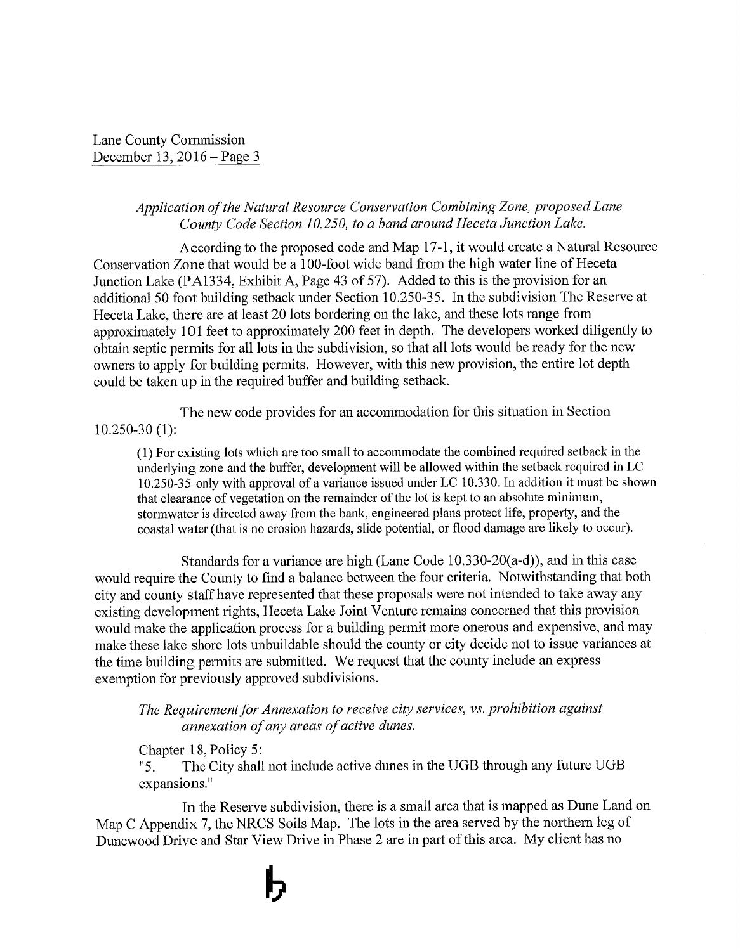### Application of the Natural Resource Conservation Combining Zone, proposed Lane County Code Section 10.250, to a band around Heceta Junction Lake.

According to the proposed code and Map 17-1, it would create a Natural Resource Conservation Zone that would be a 100-foot wide band from the high water line of Heceta Junction Lake (PA1334, Exhibit A, Page 43 of 57). Added to this is the provision for an additional 50 foot building setback under Section 10.250-35. In the subdivision The Reserve at Heceta Lake, there are at least 20 lots bordering on the lake, and these lots range from approximately 101 feet to approximately 200 feet in depth. The developers worked diligently to obtain septic permits for all lots in the subdivision, so that all lots would be ready for the new owners to apply for building permits. However, with this new provision, the entire lot depth could be taken up in the required buffer and building setback.

The new code provides for an accommodation for this situation in Section  $10.250 - 30(1)$ :

(1) For existing lots which are too small to accommodate the combined required setback in the underlying zone and the buffer, development will be allowed within the setback required in LC 10.250-35 only with approval of a variance issued under LC 10.330. In addition it must be shown that clearance of vegetation on the remainder of the lot is kept to an absolute minimum, stormwater is directed away from the bank, engineered plans protect life, property, and the coastal water (that is no erosion hazards, slide potential, or flood damage are likely to occur).

Standards for a variance are high (Lane Code 10.330-20(a-d)), and in this case would require the County to find a balance between the four criteria. Notwithstanding that both city and county staff have represented that these proposals were not intended to take away any existing development rights, Heceta Lake Joint Venture remains concerned that this provision would make the application process for a building permit more onerous and expensive, and may make these lake shore lots unbuildable should the county or city decide not to issue variances at the time building permits are submitted. We request that the county include an express exemption for previously approved subdivisions.

The Requirement for Annexation to receive city services, vs. prohibition against annexation of any areas of active dunes.

Chapter 18, Policy 5: The City shall not include active dunes in the UGB through any future UGB  $"5.$ expansions."

In the Reserve subdivision, there is a small area that is mapped as Dune Land on Map C Appendix 7, the NRCS Soils Map. The lots in the area served by the northern leg of Dunewood Drive and Star View Drive in Phase 2 are in part of this area. My client has no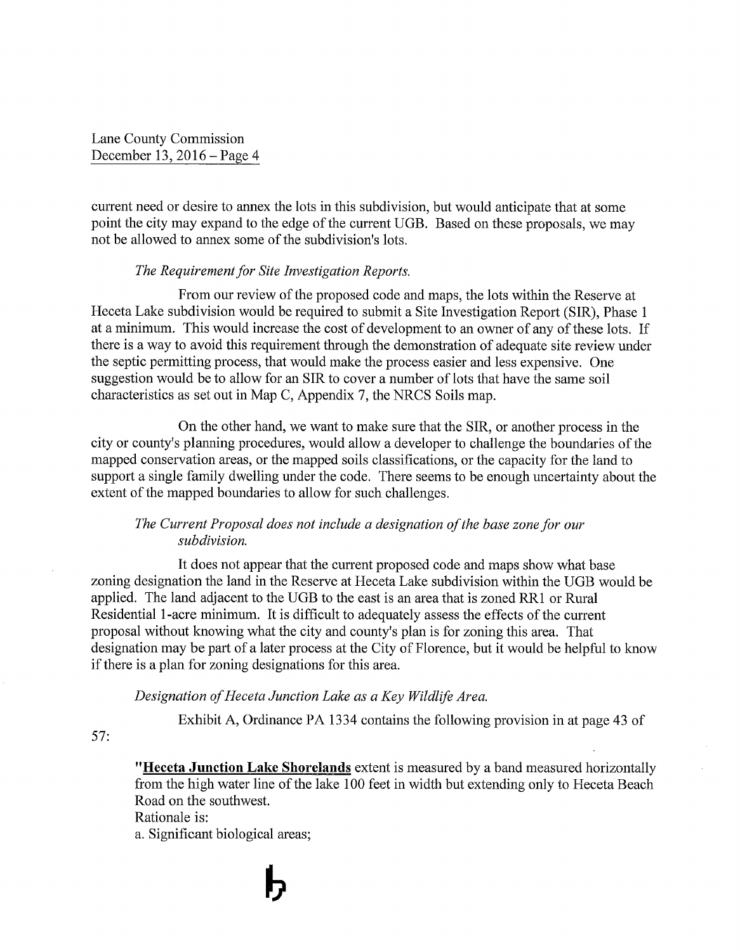current need or desire to annex the lots in this subdivision, but would anticipate that at some point the city may expand to the edge of the current UGB. Based on these proposals, we may not be allowed to annex some of the subdivision's lots.

### The Requirement for Site Investigation Reports.

From our review of the proposed code and maps, the lots within the Reserve at Heceta Lake subdivision would be required to submit a Site Investigation Report (SIR), Phase 1 at a minimum. This would increase the cost of development to an owner of any of these lots. If there is a way to avoid this requirement through the demonstration of adequate site review under the septic permitting process, that would make the process easier and less expensive. One suggestion would be to allow for an SIR to cover a number of lots that have the same soil characteristics as set out in Map C, Appendix 7, the NRCS Soils map.

On the other hand, we want to make sure that the SIR, or another process in the city or county's planning procedures, would allow a developer to challenge the boundaries of the mapped conservation areas, or the mapped soils classifications, or the capacity for the land to support a single family dwelling under the code. There seems to be enough uncertainty about the extent of the mapped boundaries to allow for such challenges.

### The Current Proposal does not include a designation of the base zone for our subdivision.

It does not appear that the current proposed code and maps show what base zoning designation the land in the Reserve at Heceta Lake subdivision within the UGB would be applied. The land adjacent to the UGB to the east is an area that is zoned RR1 or Rural Residential 1-acre minimum. It is difficult to adequately assess the effects of the current proposal without knowing what the city and county's plan is for zoning this area. That designation may be part of a later process at the City of Florence, but it would be helpful to know if there is a plan for zoning designations for this area.

### Designation of Heceta Junction Lake as a Key Wildlife Area.

Exhibit A, Ordinance PA 1334 contains the following provision in at page 43 of

 $57:$ 

"Heceta Junction Lake Shorelands extent is measured by a band measured horizontally from the high water line of the lake 100 feet in width but extending only to Heceta Beach Road on the southwest. Rationale is: a. Significant biological areas;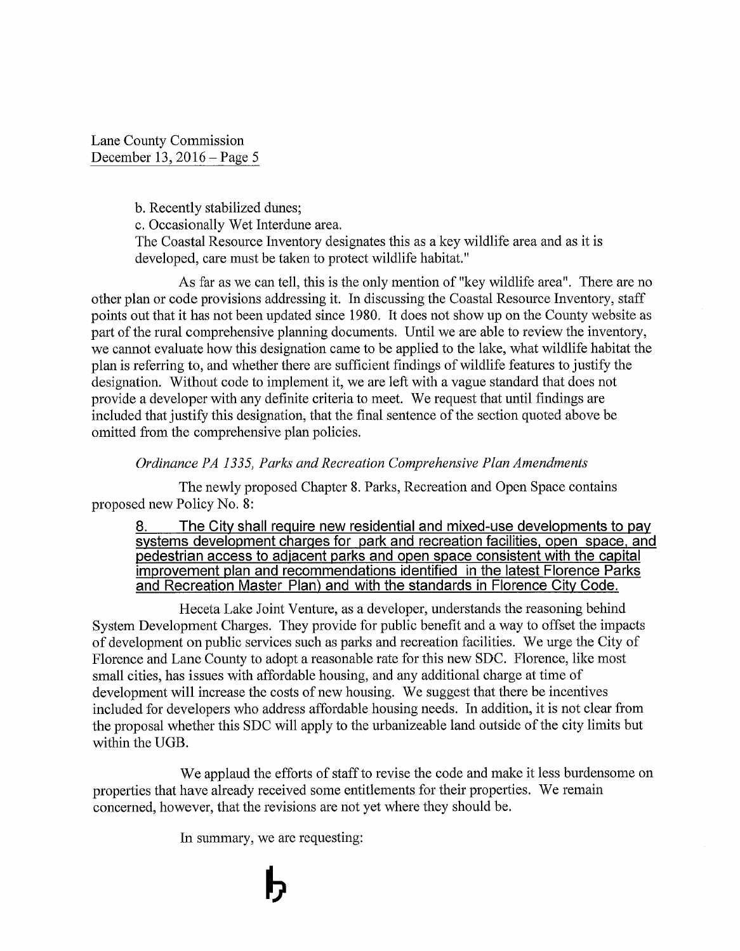b. Recently stabilized dunes;

c. Occasionally Wet Interdune area.

The Coastal Resource Inventory designates this as a key wildlife area and as it is developed, care must be taken to protect wildlife habitat."

As far as we can tell, this is the only mention of "key wildlife area". There are no other plan or code provisions addressing it. In discussing the Coastal Resource Inventory, staff points out that it has not been updated since 1980. It does not show up on the County website as part of the rural comprehensive planning documents. Until we are able to review the inventory, we cannot evaluate how this designation came to be applied to the lake, what wildlife habitat the plan is referring to, and whether there are sufficient findings of wildlife features to justify the designation. Without code to implement it, we are left with a vague standard that does not provide a developer with any definite criteria to meet. We request that until findings are included that justify this designation, that the final sentence of the section quoted above be omitted from the comprehensive plan policies.

### Ordinance PA 1335, Parks and Recreation Comprehensive Plan Amendments

The newly proposed Chapter 8. Parks, Recreation and Open Space contains proposed new Policy No. 8:

The City shall require new residential and mixed-use developments to pay 8. systems development charges for park and recreation facilities, open space, and pedestrian access to adjacent parks and open space consistent with the capital improvement plan and recommendations identified in the latest Florence Parks and Recreation Master Plan) and with the standards in Florence City Code.

Heceta Lake Joint Venture, as a developer, understands the reasoning behind System Development Charges. They provide for public benefit and a way to offset the impacts of development on public services such as parks and recreation facilities. We urge the City of Florence and Lane County to adopt a reasonable rate for this new SDC. Florence, like most small cities, has issues with affordable housing, and any additional charge at time of development will increase the costs of new housing. We suggest that there be incentives included for developers who address affordable housing needs. In addition, it is not clear from the proposal whether this SDC will apply to the urbanizeable land outside of the city limits but within the UGB.

We applaud the efforts of staff to revise the code and make it less burdensome on properties that have already received some entitlements for their properties. We remain concerned, however, that the revisions are not yet where they should be.

In summary, we are requesting: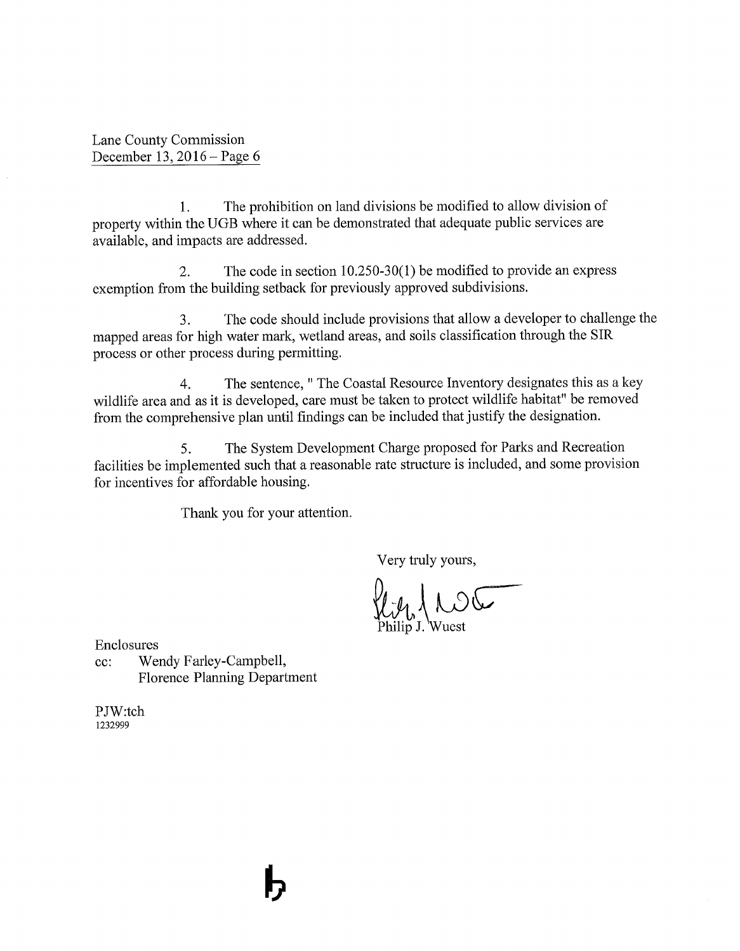The prohibition on land divisions be modified to allow division of 1. property within the UGB where it can be demonstrated that adequate public services are available, and impacts are addressed.

The code in section  $10.250-30(1)$  be modified to provide an express  $2.$ exemption from the building setback for previously approved subdivisions.

The code should include provisions that allow a developer to challenge the  $3.$ mapped areas for high water mark, wetland areas, and soils classification through the SIR process or other process during permitting.

The sentence, " The Coastal Resource Inventory designates this as a key  $\overline{4}$ . wildlife area and as it is developed, care must be taken to protect wildlife habitat" be removed from the comprehensive plan until findings can be included that justify the designation.

The System Development Charge proposed for Parks and Recreation 5. facilities be implemented such that a reasonable rate structure is included, and some provision for incentives for affordable housing.

Thank you for your attention.

Very truly yours,

 $100$ 

Enclosures

Wendy Farley-Campbell,  $cc$ : **Florence Planning Department** 

PJW:tch 1232999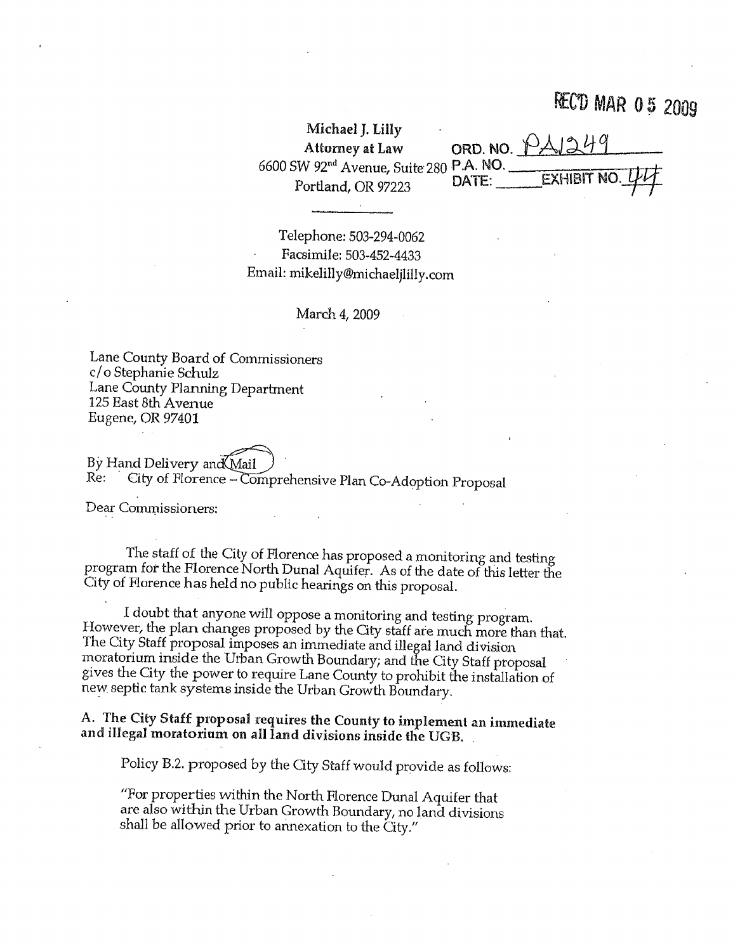# **RECD MAR 05 2009**

| Michael J. Lilly                                    |                           |
|-----------------------------------------------------|---------------------------|
| Attorney at Law                                     | ORD. NO. PAI249           |
| 6600 SW 92 <sup>nd</sup> Avenue, Suite 280 P.A. NO. |                           |
| Portland, OR 97223                                  | EXHIBIT NO. LILL<br>DATE: |

Telephone: 503-294-0062 Facsimile: 503-452-4433 Email: mikelilly@michaeljlilly.com

March 4, 2009

Lane County Board of Commissioners c/o Stephanie Schulz Lane County Planning Department 125 East 8th Avenue Eugene, OR 97401

By Hand Delivery and Mail Re:

City of Florence - Comprehensive Plan Co-Adoption Proposal

Dear Commissioners:

The staff of the City of Florence has proposed a monitoring and testing program for the Florence North Dunal Aquifer. As of the date of this letter the City of Florence has held no public hearings on this proposal.

I doubt that anyone will oppose a monitoring and testing program. However, the plan changes proposed by the City staff are much more than that. The City Staff proposal imposes an immediate and illegal land division moratorium inside the Urban Growth Boundary; and the City Staff proposal gives the City the power to require Lane County to prohibit the installation of new septic tank systems inside the Urban Growth Boundary.

A. The City Staff proposal requires the County to implement an immediate and illegal moratorium on all land divisions inside the UGB.

Policy B.2. proposed by the City Staff would provide as follows:

"For properties within the North Florence Dunal Aquifer that are also within the Urban Growth Boundary, no land divisions shall be allowed prior to annexation to the City."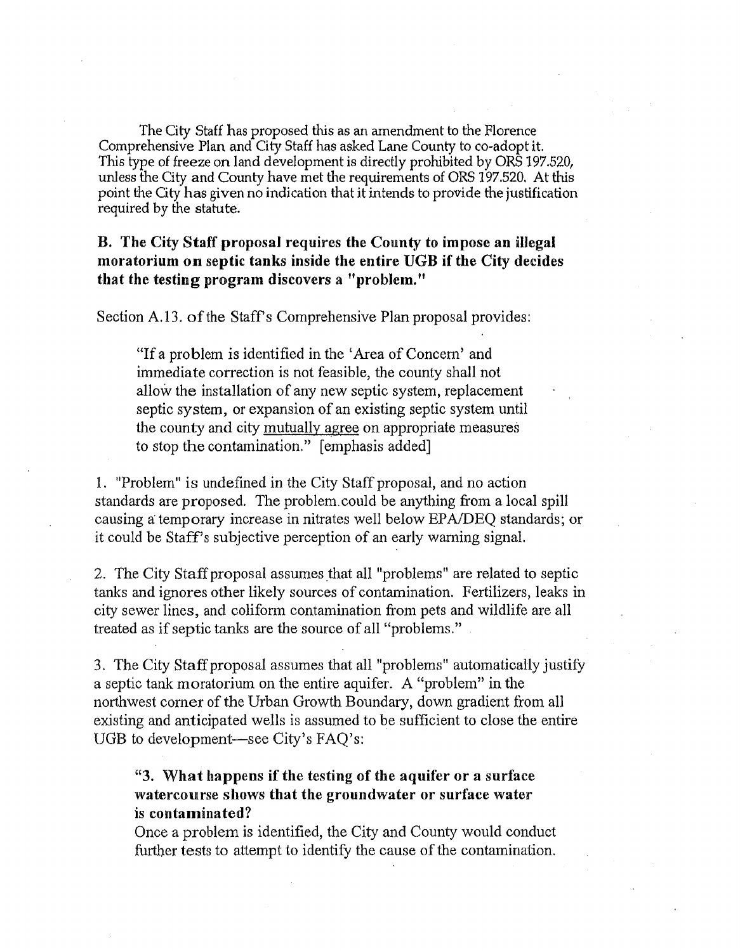The City Staff has proposed this as an amendment to the Florence Comprehensive Plan and City Staff has asked Lane County to co-adopt it. This type of freeze on land development is directly prohibited by ORS 197.520, unless the City and County have met the requirements of ORS 197.520. At this point the City has given no indication that it intends to provide the justification required by the statute.

## B. The City Staff proposal requires the County to impose an illegal moratorium on septic tanks inside the entire UGB if the City decides that the testing program discovers a "problem."

Section A.13. of the Staff's Comprehensive Plan proposal provides:

"If a problem is identified in the 'Area of Concern' and immediate correction is not feasible, the county shall not allow the installation of any new septic system, replacement septic system, or expansion of an existing septic system until the county and city mutually agree on appropriate measures to stop the contamination." [emphasis added]

1. "Problem" is undefined in the City Staff proposal, and no action standards are proposed. The problem could be anything from a local spill causing a temporary increase in nitrates well below EPA/DEO standards; or it could be Staff's subjective perception of an early warning signal.

2. The City Staff proposal assumes that all "problems" are related to septic tanks and ignores other likely sources of contamination. Fertilizers, leaks in city sewer lines, and coliform contamination from pets and wildlife are all treated as if septic tanks are the source of all "problems."

3. The City Staff proposal assumes that all "problems" automatically justify a septic tank moratorium on the entire aquifer. A "problem" in the northwest corner of the Urban Growth Boundary, down gradient from all existing and anticipated wells is assumed to be sufficient to close the entire UGB to development—see City's FAQ's:

"3. What happens if the testing of the aquifer or a surface watercourse shows that the groundwater or surface water is contaminated?

Once a problem is identified, the City and County would conduct further tests to attempt to identify the cause of the contamination.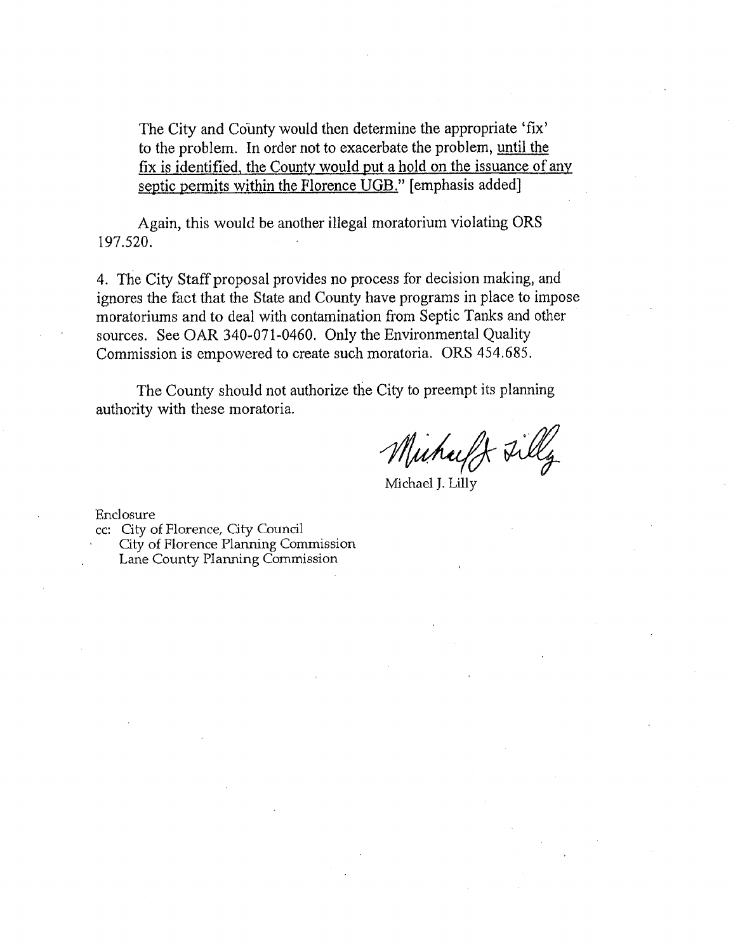The City and County would then determine the appropriate 'fix' to the problem. In order not to exacerbate the problem, until the fix is identified, the County would put a hold on the issuance of any septic permits within the Florence UGB." [emphasis added]

Again, this would be another illegal moratorium violating ORS 197.520.

4. The City Staff proposal provides no process for decision making, and ignores the fact that the State and County have programs in place to impose moratoriums and to deal with contamination from Septic Tanks and other sources. See OAR 340-071-0460. Only the Environmental Quality Commission is empowered to create such moratoria. ORS 454.685.

The County should not authorize the City to preempt its planning authority with these moratoria.

Muhaff Filly

Michael J. Lilly

Enclosure

cc: City of Florence, City Council

City of Florence Planning Commission Lane County Planning Commission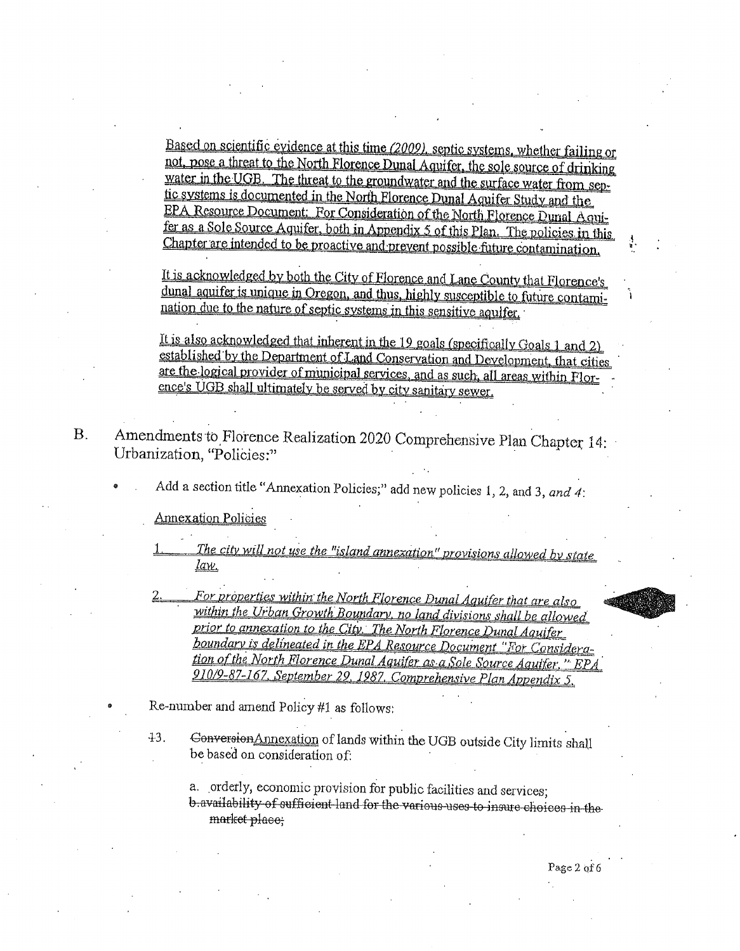Based on scientific evidence at this time (2009), septic systems, whether failing or not, pose a threat to the North Florence Dunal Aquifer, the sole source of drinking water in the UGB. The threat to the groundwater and the surface water from septic systems is documented in the North Florence Dunal Aquifer Study and the EPA Resource Document: For Consideration of the North Florence Dunal Aquifer as a Sole Source Aquifer, both in Appendix 5 of this Plan. The policies in this Chapter are intended to be proactive and prevent possible future contamination.

It is acknowledged by both the City of Florence and Lane County that Florence's dunal aquifer is unique in Oregon, and thus, highly susceptible to future contamination due to the nature of septic systems in this sensitive aguifer.

It is also acknowledged that inherent in the 19 goals (specifically Goals 1 and 2) established by the Department of Land Conservation and Development, that cities are the logical provider of municipal services, and as such, all areas within Florence's UGB shall ultimately be served by city sanitary sewer.

- Amendments to Florence Realization 2020 Comprehensive Plan Chapter 14:  $B.$ Urbanization, "Policies:"
	- Add a section title "Annexation Policies;" add new policies 1, 2, and 3, and 4:

**Annexation Policies** 

- The city will not use the "island annexation" provisions allowed by state law.
- For properties within the North Florence Dunal Aquifer that are also within the Urban Growth Boundary, no land divisions shall be allowed prior to annexation to the City. The North Florence Dunal Aquifer boundary is delineated in the EPA Resource Document "For Consideration of the North Florence Dunal Aquifer as a Sole Source Aguifer," EPA 910/9-87-167, September 29, 1987, Comprehensive Plan Appendix 5,
- Re-number and amend Policy #1 as follows:
	- Conversion Annexation of lands within the UGB outside City limits shall  $43.$ be based on consideration of:

a. orderly, economic provision for public facilities and services; b availability of sufficient land for the various uses to insure choices in the market place;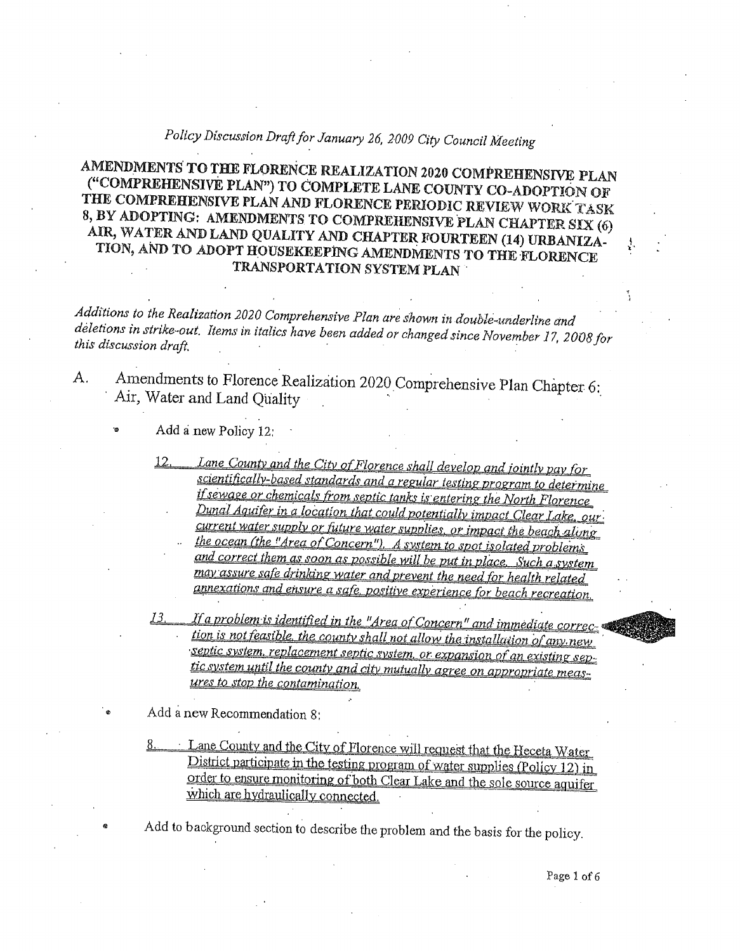# Policy Discussion Draft for January 26, 2009 City Council Meeting

## AMENDMENTS TO THE FLORENCE REALIZATION 2020 COMPREHENSIVE PLAN ("COMPREHENSIVE PLAN") TO COMPLETE LANE COUNTY CO-ADOPTION OF THE COMPREHENSIVE PLAN AND FLORENCE PERIODIC REVIEW WORK TASK 8, BY ADOPTING: AMENDMENTS TO COMPREHENSIVE PLAN CHAPTER SIX (6) AIR, WATER AND LAND QUALITY AND CHAPTER FOURTEEN (14) URBANIZA-TION, AND TO ADOPT HOUSEKEEPING AMENDMENTS TO THE FLORENCE TRANSPORTATION SYSTEM PLAN

Additions to the Realization 2020 Comprehensive Plan are shown in double-underline and deletions in strike-out. Items in italics have been added or changed since November 17, 2008 for this discussion draft,

Amendments to Florence Realization 2020 Comprehensive Plan Chapter 6:  $A<sub>1</sub>$ Air, Water and Land Quality

#### Add a new Policy 12:

- Lane County and the City of Florence shall develop and jointly pay for  $12<sub>1</sub>$ scientifically-based standards and a regular testing program to determine if sewage or chemicals from septic tanks is entering the North Florence Dunal Aquifer in a location that could potentially impact Clear Lake, our current water supply or future water supplies, or impact the beach along
	- the ocean (the "Area of Concern"). A system to spot isolated problems and correct them as soon as possible will be put in place. Such a system may assure safe drinking water and prevent the need for health related annexations and ensure a safe, positive experience for beach recreation.
- If a problem is identified in the "Area of Concern" and immediate correction is not feasible, the county shall not allow the installation of any new septic system, replacement septic system, or expansion of an existing septic system until the county and city mutually agree on appropriate measures to stop the contamination.

Add a new Recommendation 8:

Lane County and the City of Florence will request that the Heceta Water District participate in the testing program of water supplies (Policy 12) in order to ensure monitoring of both Clear Lake and the sole source aquifer which are hydraulically connected.

Add to background section to describe the problem and the basis for the policy.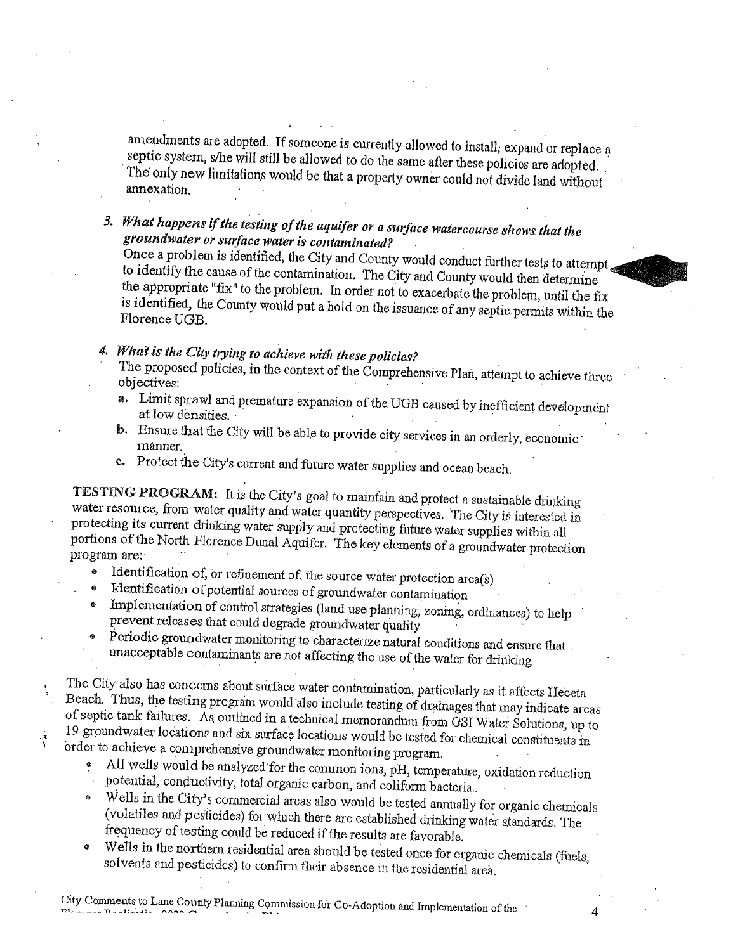amendments are adopted. If someone is currently allowed to install, expand or replace a septic system, s/he will still be allowed to do the same after these policies are adopted. The only new limitations would be that a property owner could not divide land without annexation.

3. What happens if the testing of the aquifer or a surface watercourse shows that the groundwater or surface water is contaminated?

Once a problem is identified, the City and County would conduct further tests to attempt. to identify the cause of the contamination. The City and County would then determine the appropriate "fix" to the problem. In order not to exacerbate the problem, until the fix is identified, the County would put a hold on the issuance of any septic permits within the Florence UGB.

4. What is the City trying to achieve with these policies?

The proposed policies, in the context of the Comprehensive Plan, attempt to achieve three objectives:

- a. Limit sprawl and premature expansion of the UGB caused by inefficient development at low densities.
- b. Ensure that the City will be able to provide city services in an orderly, economic månner.
- c. Protect the City's current and future water supplies and ocean beach.

TESTING PROGRAM: It is the City's goal to maintain and protect a sustainable drinking water resource, from water quality and water quantity perspectives. The City is interested in protecting its current drinking water supply and protecting future water supplies within all portions of the North Florence Dunal Aquifer. The key elements of a groundwater protection program are:

- Identification of, or refinement of, the source water protection area(s) ø.
- Identification of potential sources of groundwater contamination
- Implementation of control strategies (land use planning, zoning, ordinances) to help prevent releases that could degrade groundwater quality
- Periodic groundwater monitoring to characterize natural conditions and ensure that unacceptable contaminants are not affecting the use of the water for drinking

The City also has concerns about surface water contamination, particularly as it affects Heceta Beach. Thus, the testing program would also include testing of drainages that may indicate areas of septic tank failures. As outlined in a technical memorandum from GSI Water Solutions, up to 19 groundwater locations and six surface locations would be tested for chemical constituents in order to achieve a comprehensive groundwater monitoring program.

- All wells would be analyzed for the common ions, pH, temperature, oxidation reduction  $\bullet$ potential, conductivity, total organic carbon, and coliform bacteria.
- Wells in the City's commercial areas also would be tested annually for organic chemicals (volatiles and pesticides) for which there are established drinking water standards. The frequency of testing could be reduced if the results are favorable.
- Wells in the northern residential area should be tested once for organic chemicals (fuels,  $\pmb{\oplus}$ solvents and pesticides) to confirm their absence in the residential area.

4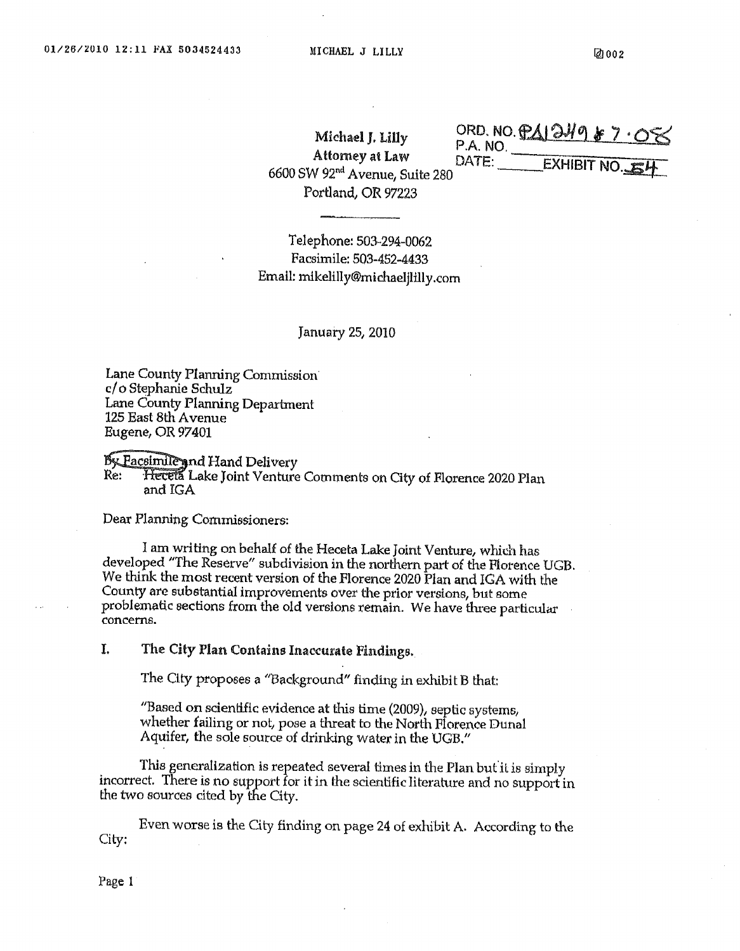Michael J. Lilly **Attomey at Law** 6600 SW 92<sup>nd</sup> Avenue, Suite 280 Portland, OR 97223

ORD. NO. PAI249 \$7.08 **EXHIBIT NO.** 

Telephone: 503-294-0062 Facsimile: 503-452-4433 Email: mikelilly@michaeljlilly.com

#### January 25, 2010

Lane County Planning Commission c/o Stephanie Schulz Lane County Planning Department 125 East 8th Avenue Eugene, OR 97401

By Pacsimile and Hand Delivery

Hetela Lake Joint Venture Comments on City of Florence 2020 Plan Re: and IGA

Dear Planning Commissioners:

I am writing on behalf of the Heceta Lake Joint Venture, which has developed "The Reserve" subdivision in the northern part of the Florence UGB. We think the most recent version of the Florence 2020 Plan and IGA with the County are substantial improvements over the prior versions, but some problematic sections from the old versions remain. We have three particular concerns.

I. The City Plan Contains Inaccurate Findings.

The City proposes a "Background" finding in exhibit B that:

"Based on scientific evidence at this time (2009), septic systems, whether failing or not, pose a threat to the North Florence Dunal Aquifer, the sole source of drinking water in the UGB."

This generalization is repeated several times in the Plan but it is simply incorrect. There is no support for it in the scientific literature and no support in the two sources cited by the City.

Even worse is the City finding on page 24 of exhibit A. According to the City:

Page 1

 $P.A. NO$ DATE: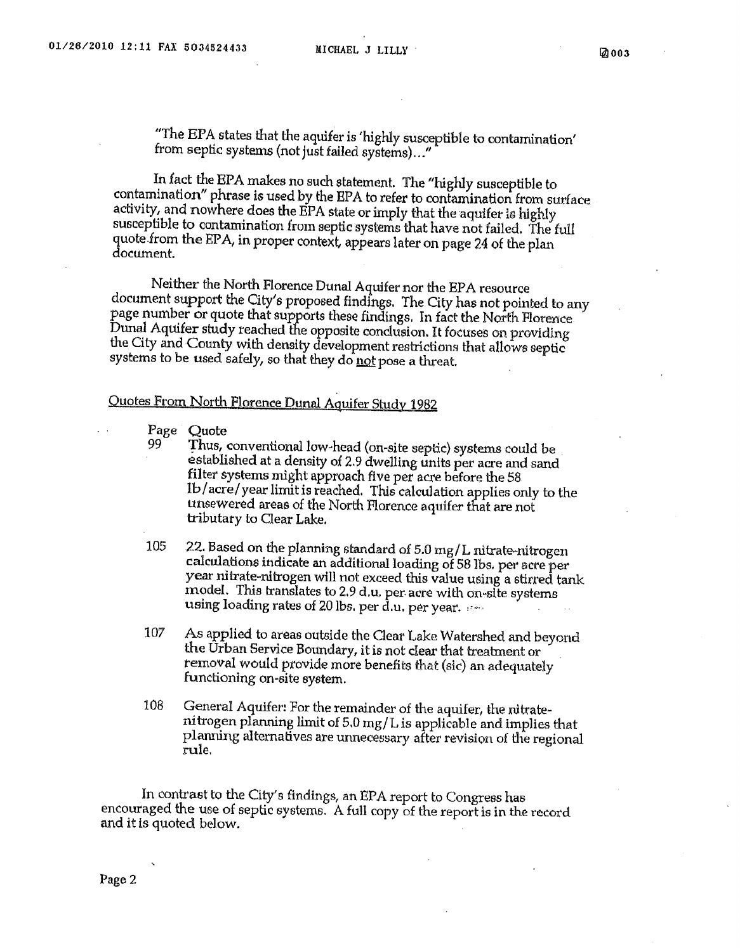"The EPA states that the aquifer is 'highly susceptible to contamination' from septic systems (not just failed systems)..."

In fact the EPA makes no such statement. The "highly susceptible to contamination" phrase is used by the EPA to refer to contamination from surface activity, and nowhere does the EPA state or imply that the aquifer is highly susceptible to contamination from septic systems that have not failed. The full quote from the EPA, in proper context, appears later on page 24 of the plan document.

Neither the North Florence Dunal Aquifer nor the EPA resource document support the City's proposed findings. The City has not pointed to any page number or quote that supports these findings. In fact the North Florence Dunal Aquifer study reached the opposite conclusion. It focuses on providing the City and County with density development restrictions that allows septic systems to be used safely, so that they do not pose a threat.

### Quotes From North Florence Dunal Aquifer Study 1982

Page Quote

99

- Thus, conventional low-head (on-site septic) systems could be established at a density of 2.9 dwelling units per acre and sand filter systems might approach five per acre before the 58 1b/acre/year limit is reached. This calculation applies only to the unsewered areas of the North Florence aquifer that are not tributary to Clear Lake.
- 105 22. Based on the planning standard of 5.0 mg/L nitrate-nitrogen calculations indicate an additional loading of 58 lbs, per acre per year nitrate-nitrogen will not exceed this value using a stirred tank model. This translates to 2.9 d.u. per acre with on-site systems using loading rates of 20 lbs, per d.u. per year.
- 107 As applied to areas outside the Clear Lake Watershed and beyond the Urban Service Boundary, it is not clear that treatment or removal would provide more benefits that (sic) an adequately functioning on-site system.
- 108 General Aquifer: For the remainder of the aquifer, the nitratenitrogen planning limit of 5.0 mg/L is applicable and implies that planning alternatives are unnecessary after revision of the regional rule.

In contrast to the City's findings, an EPA report to Congress has encouraged the use of septic systems. A full copy of the report is in the record and it is quoted below.

Page 2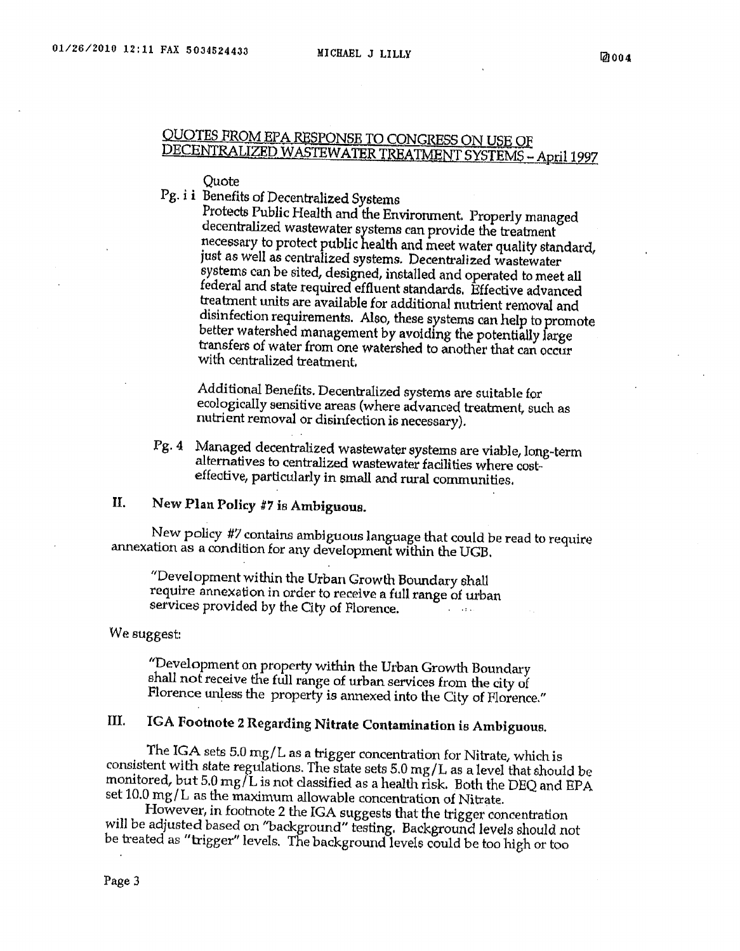## QUOTES FROM EPA RESPONSE TO CONGRESS ON USE OF DECENTRALIZED WASTEWATER TREATMENT SYSTEMS - April 1997

#### **Ouote**

Pg. i i Benefits of Decentralized Systems

Protects Public Health and the Environment. Properly managed decentralized wastewater systems can provide the treatment necessary to protect public health and meet water quality standard, just as well as centralized systems. Decentralized wastewater systems can be sited, designed, installed and operated to meet all federal and state required effluent standards. Effective advanced treatment units are available for additional nutrient removal and disinfection requirements. Also, these systems can help to promote better watershed management by avoiding the potentially large transfers of water from one watershed to another that can occur with centralized treatment.

Additional Benefits. Decentralized systems are suitable for ecologically sensitive areas (where advanced treatment, such as nutrient removal or disinfection is necessary).

Managed decentralized wastewater systems are viable, long-term  $Pg.4$ alternatives to centralized wastewater facilities where costeffective, particularly in small and rural communities.

#### II. New Plan Policy #7 is Ambiguous.

New policy #7 contains ambiguous language that could be read to require annexation as a condition for any development within the UGB.

"Development within the Urban Growth Boundary shall require annexation in order to receive a full range of urban services provided by the City of Florence.

We suggest:

"Development on property within the Urban Growth Boundary shall not receive the full range of urban services from the city of Florence unless the property is annexed into the City of Florence."

#### IGA Footnote 2 Regarding Nitrate Contamination is Ambiguous. III.

The IGA sets 5.0 mg/L as a trigger concentration for Nitrate, which is consistent with state regulations. The state sets 5.0 mg/L as a level that should be monitored, but 5.0 mg/L is not classified as a health risk. Both the DEQ and EPA set 10.0 mg/L as the maximum allowable concentration of Nitrate.

However, in footnote 2 the IGA suggests that the trigger concentration will be adjusted based on "background" testing. Background levels should not be treated as "trigger" levels. The background levels could be too high or too